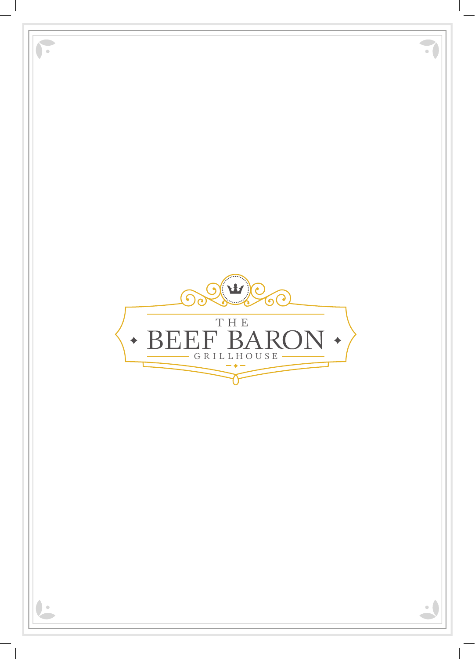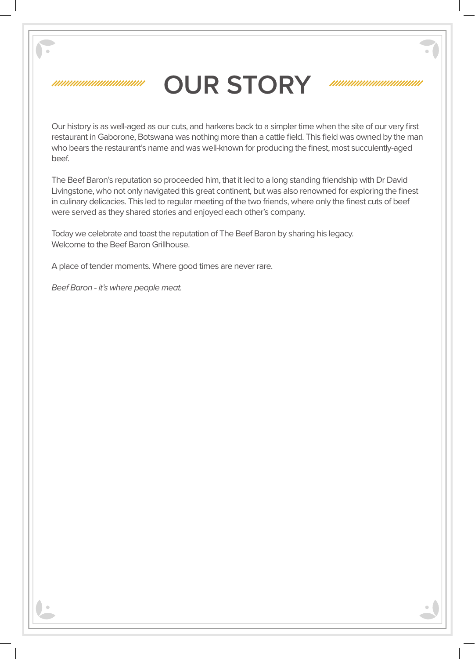#### ///////////////////////////////

## **OUR STORY**

#### 

Our history is as well-aged as our cuts, and harkens back to a simpler time when the site of our very first restaurant in Gaborone, Botswana was nothing more than a cattle field. This field was owned by the man who bears the restaurant's name and was well-known for producing the finest, most succulently-aged beef.

The Beef Baron's reputation so proceeded him, that it led to a long standing friendship with Dr David Livingstone, who not only navigated this great continent, but was also renowned for exploring the finest in culinary delicacies. This led to regular meeting of the two friends, where only the finest cuts of beef were served as they shared stories and enjoyed each other's company.

Today we celebrate and toast the reputation of The Beef Baron by sharing his legacy. Welcome to the Beef Baron Grillhouse.

A place of tender moments. Where good times are never rare.

*Beef Baron - it's where people meat.*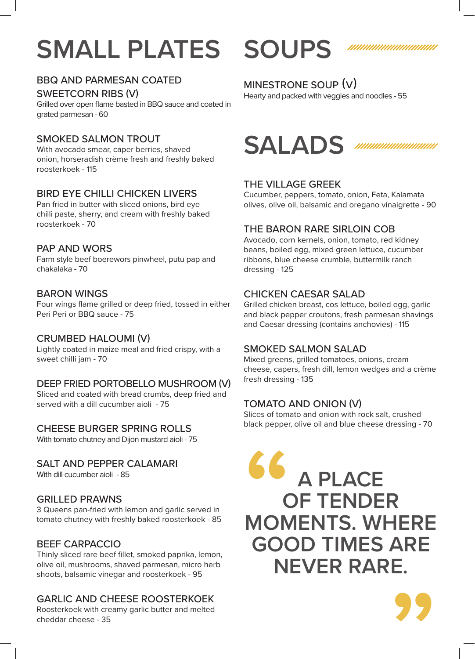# **SMALL PLATES SOUPS**

### BBQ AND PARMESAN COATED

SWEETCORN RIBS (V)

Grilled over open flame basted in BBQ sauce and coated in grated parmesan - 60

#### SMOKED SALMON TROUT

With avocado smear, caper berries, shaved onion, horseradish crème fresh and freshly baked roosterkoek - 115

#### BIRD EYE CHILLI CHICKEN LIVERS

Pan fried in butter with sliced onions, bird eye chilli paste, sherry, and cream with freshly baked roosterkoek - 70

#### PAP AND WORS

Farm style beef boerewors pinwheel, putu pap and chakalaka - 70

#### BARON WINGS

Four wings flame grilled or deep fried, tossed in either Peri Peri or BBQ sauce - 75

#### CRUMBED HALOUMI (V)

Lightly coated in maize meal and fried crispy, with a sweet chilli jam - 70

#### DEEP FRIED PORTOBELLO MUSHROOM (V)

Sliced and coated with bread crumbs, deep fried and served with a dill cucumber aioli - 75

#### CHEESE BURGER SPRING ROLLS

With tomato chutney and Dijon mustard aioli - 75

#### SALT AND PEPPER CALAMARI

With dill cucumber aioli - 85

#### GRILLED PRAWNS

3 Queens pan-fried with lemon and garlic served in tomato chutney with freshly baked roosterkoek - 85

#### BEEF CARPACCIO

Thinly sliced rare beef fillet, smoked paprika, lemon, olive oil, mushrooms, shaved parmesan, micro herb shoots, balsamic vinegar and roosterkoek - 95

#### GARLIC AND CHEESE ROOSTERKOEK

Roosterkoek with creamy garlic butter and melted cheddar cheese - 35



Hearty and packed with veggies and noodles - 55

### **SALADS** ,,,,,,,,,,,,,,,,,,,,,,,,,,

#### THE VILLAGE GREEK

Cucumber, peppers, tomato, onion, Feta, Kalamata olives, olive oil, balsamic and oregano vinaigrette - 90

#### THE BARON RARE SIRLOIN COB

Avocado, corn kernels, onion, tomato, red kidney beans, boiled egg, mixed green lettuce, cucumber ribbons, blue cheese crumble, buttermilk ranch dressing - 125

#### CHICKEN CAESAR SALAD

Grilled chicken breast, cos lettuce, boiled egg, garlic and black pepper croutons, fresh parmesan shavings and Caesar dressing (contains anchovies) - 115

#### SMOKED SALMON SALAD

Mixed greens, grilled tomatoes, onions, cream cheese, capers, fresh dill, lemon wedges and a crème fresh dressing - 135

#### TOMATO AND ONION (V)

Slices of tomato and onion with rock salt, crushed black pepper, olive oil and blue cheese dressing - 70



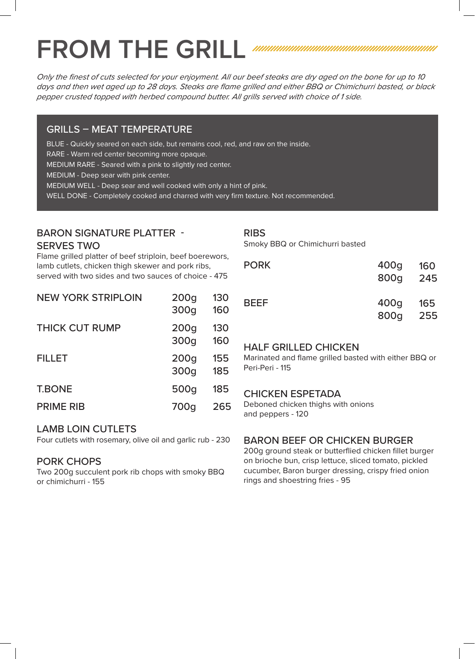# FROM THE GRILL *MUNIMUM MUNIMUM MUNIMUM MINIMUM*

*Only the finest of cuts selected for your enjoyment. All our beef steaks are dry aged on the bone for up to 10 days and then wet aged up to 28 days. Steaks are flame grilled and either BBQ or Chimichurri basted, or black pepper crusted topped with herbed compound butter. All grills served with choice of 1 side.*

#### GRILLS – MEAT TEMPERATURE

BLUE - Quickly seared on each side, but remains cool, red, and raw on the inside.

RARE - Warm red center becoming more opaque.

MEDIUM RARE - Seared with a pink to slightly red center.

MEDIUM - Deep sear with pink center.

MEDIUM WELL - Deep sear and well cooked with only a hint of pink.

WELL DONE - Completely cooked and charred with very firm texture. Not recommended.

#### BARON SIGNATURE PLATTER -

NEW YORK STRIPLOIN

#### SERVES TWO

Flame grilled platter of beef striploin, beef boerewors, lamb cutlets, chicken thigh skewer and pork ribs, served with two sides and two sauces of choice - 475

| <b>NEW YORK STRIPLOIN</b> | 200 <sub>q</sub><br>300g | 130<br>160 |
|---------------------------|--------------------------|------------|
| <b>THICK CUT RUMP</b>     | 200 <sub>q</sub><br>300g | 130<br>160 |
| <b>FILLET</b>             | 200q<br>300g             | 155<br>185 |
| <b>T.BONE</b>             | 500g                     | 185        |
| <b>PRIME RIB</b>          | 700g                     | 265        |

#### RIBS

Smoky BBQ or Chimichurri basted

| <b>PORK</b> | 400g<br>800g | 160<br>245 |
|-------------|--------------|------------|
| <b>BEEF</b> | 400g<br>800g | 165<br>255 |

#### HALF GRILLED CHICKEN

Marinated and flame grilled basted with either BBQ or Peri-Peri - 115

#### CHICKEN ESPETADA

Deboned chicken thighs with onions and peppers - 120

#### LAMB LOIN CUTLETS

Four cutlets with rosemary, olive oil and garlic rub - 230

#### PORK CHOPS

Two 200g succulent pork rib chops with smoky BBQ or chimichurri - 155

#### BARON BEEF OR CHICKEN BURGER

200g ground steak or butterflied chicken fillet burger on brioche bun, crisp lettuce, sliced tomato, pickled cucumber, Baron burger dressing, crispy fried onion rings and shoestring fries - 95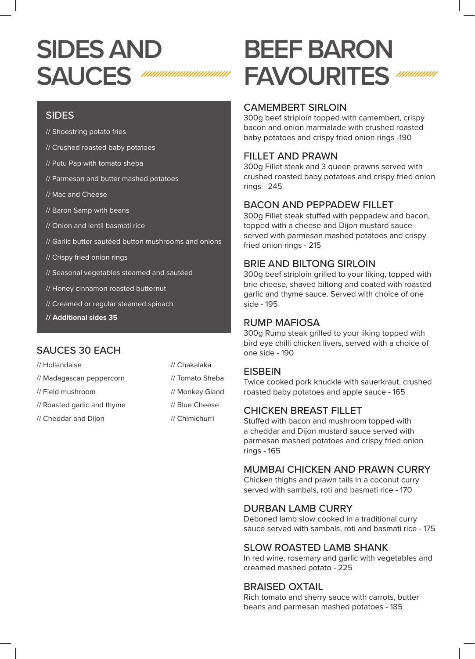# **SIDES AND SAUCES**

### SIDES

- // Shoestring potato fries
- // Crushed roasted baby potatoes
- // Putu Pap with tomato sheba
- // Parmesan and butter mashed potatoes
- // Mac and Cheese
- // Baron Samp with beans
- // Onion and lentil basmati rice
- // Garlic butter sautéed button mushrooms and onions
- // Crispy fried onion rings
- // Seasonal vegetables steamed and sautéed
- // Honey cinnamon roasted butternut
- // Creamed or regular steamed spinach
- **// Additional sides 35**

### SAUCES 30 EACH

| // Hollandaise              | // Chakalaka    |
|-----------------------------|-----------------|
| // Madagascan peppercorn    | // Tomato Sheba |
| // Field mushroom           | // Monkey Gland |
| // Roasted garlic and thyme | // Blue Cheese  |
| // Cheddar and Dijon        | // Chimichurri  |
|                             |                 |

# **BEEF BARON FAVOURITES**

### CAMEMBERT SIRLOIN

300g beef striploin topped with camembert, crispy bacon and onion marmalade with crushed roasted baby potatoes and crispy fried onion rings -190

### FILLET AND PRAWN

300g Fillet steak and 3 queen prawns served with crushed roasted baby potatoes and crispy fried onion rings - 245

### BACON AND PEPPADEW FILLET

300g Fillet steak stuffed with peppadew and bacon, topped with a cheese and Dijon mustard sauce served with parmesan mashed potatoes and crispy fried onion rings - 215

### BRIE AND BILTONG SIRLOIN

300g beef striploin grilled to your liking, topped with brie cheese, shaved biltong and coated with roasted garlic and thyme sauce. Served with choice of one side - 195

#### RUMP MAFIOSA

300g Rump steak grilled to your liking topped with bird eye chilli chicken livers, served with a choice of one side - 190

#### **EISBEIN**

Twice cooked pork knuckle with sauerkraut, crushed roasted baby potatoes and apple sauce - 165

#### CHICKEN BREAST FILLET

Stuffed with bacon and mushroom topped with a cheddar and Dijon mustard sauce served with parmesan mashed potatoes and crispy fried onion rings - 165

#### MUMBAI CHICKEN AND PRAWN CURRY

Chicken thighs and prawn tails in a coconut curry served with sambals, roti and basmati rice - 170

#### DURBAN LAMB CURRY

Deboned lamb slow cooked in a traditional curry sauce served with sambals, roti and basmati rice - 175

#### SLOW ROASTED LAMB SHANK

In red wine, rosemary and garlic with vegetables and creamed mashed potato - 225

#### BRAISED OXTAIL

Rich tomato and sherry sauce with carrots, butter beans and parmesan mashed potatoes - 185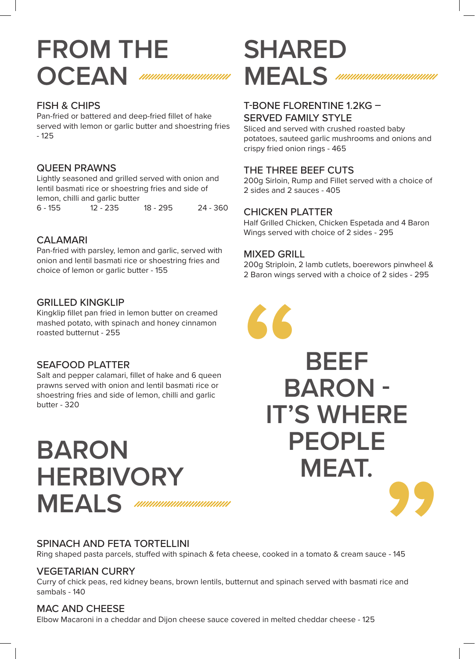### **FROM THE OCEAN** ////////////////////////////////

#### FISH & CHIPS

Pan-fried or battered and deep-fried fillet of hake served with lemon or garlic butter and shoestring fries - 125

#### QUEEN PRAWNS

Lightly seasoned and grilled served with onion and lentil basmati rice or shoestring fries and side of lemon, chilli and garlic butter

6 - 155 12 - 235 18 - 295 24 - 360

#### CALAMARI

Pan-fried with parsley, lemon and garlic, served with onion and lentil basmati rice or shoestring fries and choice of lemon or garlic butter - 155

#### GRILLED KINGKLIP

Kingklip fillet pan fried in lemon butter on creamed mashed potato, with spinach and honey cinnamon roasted butternut - 255

#### SEAFOOD PLATTER

Salt and pepper calamari, fillet of hake and 6 queen prawns served with onion and lentil basmati rice or shoestring fries and side of lemon, chilli and garlic butter - 320

# **BARON HERBIVORY MEALS** *MMMMMMMMMM*

### SPINACH AND FETA TORTELLINI

Ring shaped pasta parcels, stuffed with spinach & feta cheese, cooked in a tomato & cream sauce - 145

#### VEGETARIAN CURRY

Curry of chick peas, red kidney beans, brown lentils, butternut and spinach served with basmati rice and sambals - 140

#### MAC AND CHEESE

Elbow Macaroni in a cheddar and Dijon cheese sauce covered in melted cheddar cheese - 125

# **SHARED MEALS** *MMMMMMMMMMM*

### T-BONE FLORENTINE 1.2KG –

#### SERVED FAMILY STYLE

Sliced and served with crushed roasted baby potatoes, sauteed garlic mushrooms and onions and crispy fried onion rings - 465

#### THE THREE BEEF CUTS

200g Sirloin, Rump and Fillet served with a choice of 2 sides and 2 sauces - 405

#### CHICKEN PLATTER

Half Grilled Chicken, Chicken Espetada and 4 Baron Wings served with choice of 2 sides - 295

#### MIXED GRILL

200g Striploin, 2 lamb cutlets, boerewors pinwheel & 2 Baron wings served with a choice of 2 sides - 295